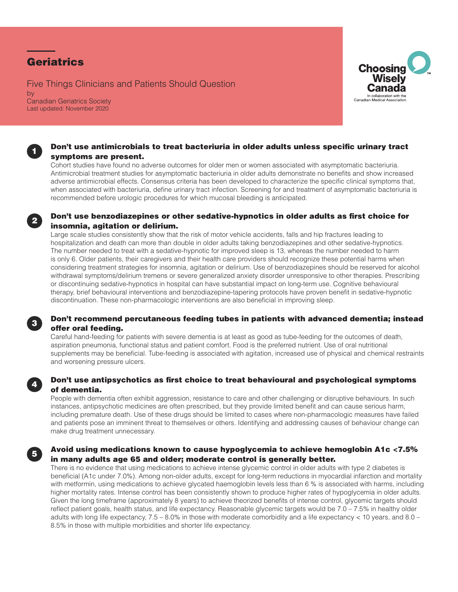# **Geriatrics**

Five Things Clinicians and Patients Should Question by Canadian Geriatrics Society Last updated: November 2020



### Don't use antimicrobials to treat bacteriuria in older adults unless specific urinary tract symptoms are present.

Cohort studies have found no adverse outcomes for older men or women associated with asymptomatic bacteriuria. Antimicrobial treatment studies for asymptomatic bacteriuria in older adults demonstrate no benefits and show increased adverse antimicrobial effects. Consensus criteria has been developed to characterize the specific clinical symptoms that, when associated with bacteriuria, define urinary tract infection. Screening for and treatment of asymptomatic bacteriuria is recommended before urologic procedures for which mucosal bleeding is anticipated.

#### <sup>2</sup> Don't use benzodiazepines or other sedative-hypnotics in older adults as first choice for insomnia, agitation or delirium.

Large scale studies consistently show that the risk of motor vehicle accidents, falls and hip fractures leading to hospitalization and death can more than double in older adults taking benzodiazepines and other sedative-hypnotics. The number needed to treat with a sedative-hypnotic for improved sleep is 13, whereas the number needed to harm is only 6. Older patients, their caregivers and their health care providers should recognize these potential harms when considering treatment strategies for insomnia, agitation or delirium. Use of benzodiazepines should be reserved for alcohol withdrawal symptoms/delirium tremens or severe generalized anxiety disorder unresponsive to other therapies. Prescribing or discontinuing sedative-hypnotics in hospital can have substantial impact on long-term use. Cognitive behavioural therapy, brief behavioural interventions and benzodiazepine-tapering protocols have proven benefit in sedative-hypnotic discontinuation. These non-pharmacologic interventions are also beneficial in improving sleep.

## <sup>3</sup> Don't recommend percutaneous feeding tubes in patients with advanced dementia; instead offer oral feeding.

Careful hand-feeding for patients with severe dementia is at least as good as tube-feeding for the outcomes of death, aspiration pneumonia, functional status and patient comfort. Food is the preferred nutrient. Use of oral nutritional supplements may be beneficial. Tube-feeding is associated with agitation, increased use of physical and chemical restraints and worsening pressure ulcers.

## Don't use antipsychotics as first choice to treat behavioural and psychological symptoms of dementia.

People with dementia often exhibit aggression, resistance to care and other challenging or disruptive behaviours. In such instances, antipsychotic medicines are often prescribed, but they provide limited benefit and can cause serious harm, including premature death. Use of these drugs should be limited to cases where non-pharmacologic measures have failed and patients pose an imminent threat to themselves or others. Identifying and addressing causes of behaviour change can make drug treatment unnecessary.

## <sup>5</sup> Avoid using medications known to cause hypoglycemia to achieve hemoglobin A1c <7.5% in many adults age 65 and older; moderate control is generally better.

There is no evidence that using medications to achieve intense glycemic control in older adults with type 2 diabetes is beneficial (A1c under 7.0%). Among non-older adults, except for long-term reductions in myocardial infarction and mortality with metformin, using medications to achieve glycated haemoglobin levels less than 6 % is associated with harms, including higher mortality rates. Intense control has been consistently shown to produce higher rates of hypoglycemia in older adults. Given the long timeframe (approximately 8 years) to achieve theorized benefits of intense control, glycemic targets should reflect patient goals, health status, and life expectancy. Reasonable glycemic targets would be 7.0 – 7.5% in healthy older adults with long life expectancy,  $7.5 - 8.0\%$  in those with moderate comorbidity and a life expectancy  $< 10$  years, and  $8.0 -$ 8.5% in those with multiple morbidities and shorter life expectancy.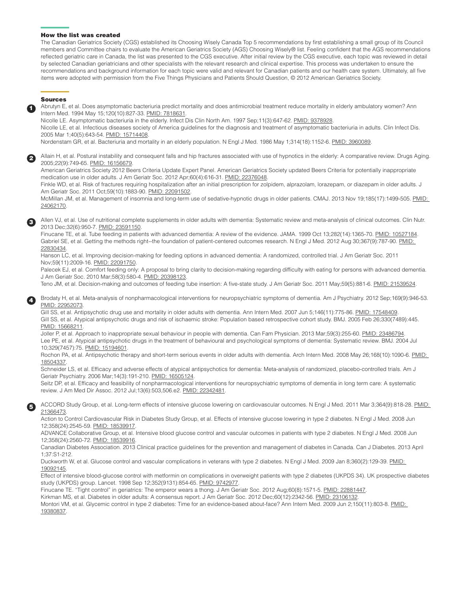#### How the list was created

The Canadian Geriatrics Society (CGS) established its Choosing Wisely Canada Top 5 recommendations by first establishing a small group of its Council members and Committee chairs to evaluate the American Geriatrics Society (AGS) Choosing Wisely® list. Feeling confident that the AGS recommendations reflected geriatric care in Canada, the list was presented to the CGS executive. After initial review by the CGS executive, each topic was reviewed in detail by selected Canadian geriatricians and other specialists with the relevant research and clinical expertise. This process was undertaken to ensure the recommendations and background information for each topic were valid and relevant for Canadian patients and our health care system. Ultimately, all five items were adopted with permission from the Five Things Physicians and Patients Should Question, © 2012 American Geriatrics Society.

#### Sources

1

2

Abrutyn E, et al. Does asymptomatic bacteriuria predict mortality and does antimicrobial treatment reduce mortality in elderly ambulatory women? Ann Intern Med. 1994 May 15;120(10):827-33. [PMID: 7818631.](https://www.ncbi.nlm.nih.gov/pubmed/7818631)

Nicolle LE. Asymptomatic bacteriuria in the elderly. Infect Dis Clin North Am. 1997 Sep;11(3):647-62. [PMID: 9378928.](https://www.ncbi.nlm.nih.gov/pubmed/9378928)

Nicolle LE, et al. Infectious diseases society of America guidelines for the diagnosis and treatment of asymptomatic bacteriuria in adults. Clin Infect Dis. 2005 Mar 1;40(5):643-54. [PMID: 15714408.](https://www.ncbi.nlm.nih.gov/pubmed/15714408)

Nordenstam GR, et al. Bacteriuria and mortality in an elderly population. N Engl J Med. 1986 May 1;314(18):1152-6. [PMID: 3960089.](https://www.ncbi.nlm.nih.gov/pubmed/3960089)

Allain H, et al. Postural instability and consequent falls and hip fractures associated with use of hypnotics in the elderly: A comparative review. Drugs Aging. 2005;22(9):749-65. [PMID: 16156679](https://www.ncbi.nlm.nih.gov/pubmed/16156679).

American Geriatrics Society 2012 Beers Criteria Update Expert Panel. American Geriatrics Society updated Beers Criteria for potentially inappropriate medication use in older adults. J Am Geriatr Soc. 2012 Apr;60(4):616-31. [PMID: 22376048.](https://www.ncbi.nlm.nih.gov/pubmed/22376048)

Finkle WD, et al. Risk of fractures requiring hospitalization after an initial prescription for zolpidem, alprazolam, lorazepam, or diazepam in older adults. J Am Geriatr Soc. 2011 Oct;59(10):1883-90. [PMID: 22091502](https://www.ncbi.nlm.nih.gov/pubmed/22091502).

McMillan JM, et al. Management of insomnia and long-term use of sedative-hypnotic drugs in older patients. CMAJ. 2013 Nov 19;185(17):1499-505. [PMID:](https://www.ncbi.nlm.nih.gov/pubmed/24062170)  [24062170.](https://www.ncbi.nlm.nih.gov/pubmed/24062170)

3 Allen VJ, et al. Use of nutritional complete supplements in older adults with dementia: Systematic review and meta-analysis of clinical outcomes. Clin Nutr. 2013 Dec;32(6):950-7. [PMID: 23591150](https://www.ncbi.nlm.nih.gov/pubmed/23591150).

Finucane TE, et al. Tube feeding in patients with advanced dementia: A review of the evidence. JAMA. 1999 Oct 13;282(14):1365-70. [PMID: 10527184.](https://www.ncbi.nlm.nih.gov/pubmed/10527184) Gabriel SE, et al. Getting the methods right--the foundation of patient-centered outcomes research. N Engl J Med. 2012 Aug 30;367(9):787-90. PMID: [22830434.](https://www.ncbi.nlm.nih.gov/pubmed/22830434)

Hanson LC, et al. Improving decision-making for feeding options in advanced dementia: A randomized, controlled trial. J Am Geriatr Soc. 2011 Nov;59(11):2009-16. [PMID: 22091750](https://www.ncbi.nlm.nih.gov/pubmed/22091750).

Palecek EJ, et al. Comfort feeding only: A proposal to bring clarity to decision-making regarding difficulty with eating for persons with advanced dementia. J Am Geriatr Soc. 2010 Mar;58(3):580-4. [PMID: 20398123](https://www.ncbi.nlm.nih.gov/pubmed/20398123).

Teno JM, et al. Decision-making and outcomes of feeding tube insertion: A five-state study. J Am Geriatr Soc. 2011 May;59(5):881-6. [PMID: 21539524](https://www.ncbi.nlm.nih.gov/pubmed/21539524).

4 Brodaty H, et al. Meta-analysis of nonpharmacological interventions for neuropsychiatric symptoms of dementia. Am J Psychiatry. 2012 Sep;169(9):946-53. [PMID: 22952073](https://www.ncbi.nlm.nih.gov/pubmed/22952073).

Gill SS, et al. Antipsychotic drug use and mortality in older adults with dementia. Ann Intern Med. 2007 Jun 5;146(11):775-86. [PMID: 17548409](https://www.ncbi.nlm.nih.gov/pubmed/17548409) Gill SS, et al. Atypical antipsychotic drugs and risk of ischaemic stroke: Population based retrospective cohort study. BMJ. 2005 Feb 26;330(7489):445. [PMID: 15668211](https://www.ncbi.nlm.nih.gov/pubmed/15668211).

Joller P, et al. Approach to inappropriate sexual behaviour in people with dementia. Can Fam Physician. 2013 Mar;59(3):255-60. [PMID: 23486794](https://www.ncbi.nlm.nih.gov/pubmed/23486794). Lee PE, et al. Atypical antipsychotic drugs in the treatment of behavioural and psychological symptoms of dementia: Systematic review. BMJ. 2004 Jul 10;329(7457):75. [PMID: 15194601.](https://www.ncbi.nlm.nih.gov/pubmed/15194601)

Rochon PA, et al. Antipsychotic therapy and short-term serious events in older adults with dementia. Arch Intern Med. 2008 May 26;168(10):1090-6. PMID: [18504337.](https://www.ncbi.nlm.nih.gov/pubmed/18504337)

Schneider LS, et al. Efficacy and adverse effects of atypical antipsychotics for dementia: Meta-analysis of randomized, placebo-controlled trials. Am J Geriatr Psychiatry. 2006 Mar;14(3):191-210. [PMID: 16505124.](https://www.ncbi.nlm.nih.gov/pubmed/16505124)

Seitz DP, et al. Efficacy and feasibility of nonpharmacological interventions for neuropsychiatric symptoms of dementia in long term care: A systematic review. J Am Med Dir Assoc. 2012 Jul;13(6):503,506.e2. [PMID: 22342481](https://www.ncbi.nlm.nih.gov/pubmed/22342481).

5 ACCORD Study Group, et al. Long-term effects of intensive glucose lowering on cardiovascular outcomes. N Engl J Med. 2011 Mar 3;364(9):818-28. [PMID:](https://www.ncbi.nlm.nih.gov/pubmed/21366473)  [21366473.](https://www.ncbi.nlm.nih.gov/pubmed/21366473)

Action to Control Cardiovascular Risk in Diabetes Study Group, et al. Effects of intensive glucose lowering in type 2 diabetes. N Engl J Med. 2008 Jun 12;358(24):2545-59. [PMID: 18539917.](https://www.ncbi.nlm.nih.gov/pubmed/18539917)

ADVANCE Collaborative Group, et al. Intensive blood glucose control and vascular outcomes in patients with type 2 diabetes. N Engl J Med. 2008 Jun 12;358(24):2560-72. [PMID: 18539916.](https://www.ncbi.nlm.nih.gov/pubmed/18539916)

Canadian Diabetes Association. 2013 Clinical practice guidelines for the prevention and management of diabetes in Canada. Can J Diabetes. 2013 April 1;37:S1-212.

Duckworth W, et al. Glucose control and vascular complications in veterans with type 2 diabetes. N Engl J Med. 2009 Jan 8;360(2):129-39. PMID: [19092145.](https://www.ncbi.nlm.nih.gov/pubmed/19092145)

Effect of intensive blood-glucose control with metformin on complications in overweight patients with type 2 diabetes (UKPDS 34). UK prospective diabet es study (UKPDS) group. Lancet. 1998 Sep 12;352(9131):854-65. [PMID: 9742977](https://www.ncbi.nlm.nih.gov/pubmed/9742977).

Finucane TE. "Tight control" in geriatrics: The emperor wears a thong. J Am Geriatr Soc. 2012 Aug;60(8):1571-5. [PMID: 22881447.](https://www.ncbi.nlm.nih.gov/pubmed/22881447)

Kirkman MS, et al. Diabetes in older adults: A consensus report. J Am Geriatr Soc. 2012 Dec;60(12):2342-56. [PMID: 23106132](https://www.ncbi.nlm.nih.gov/pubmed/23106132)

Montori VM, et al. Glycemic control in type 2 diabetes: Time for an evidence-based about-face? Ann Intern Med. 2009 Jun 2;150(11):803-8. PMID: [19380837.](https://www.ncbi.nlm.nih.gov/pubmed/19380837)